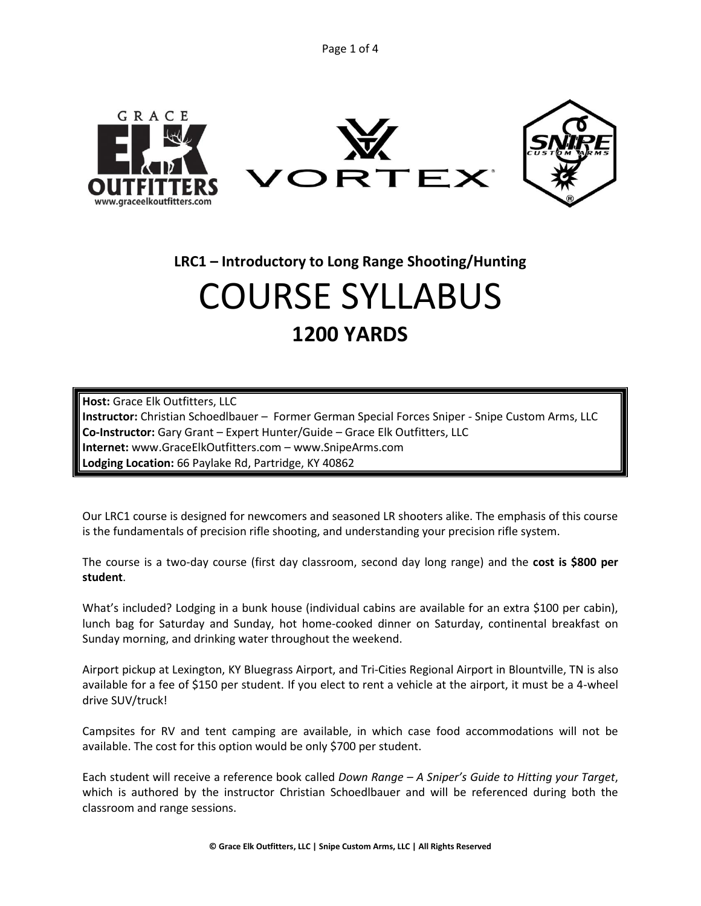Page 1 of 4



**LRC1 – Introductory to Long Range Shooting/Hunting**

# COURSE SYLLABUS **1200 YARDS**

**Host:** Grace Elk Outfitters, LLC **Instructor:** Christian Schoedlbauer – Former German Special Forces Sniper - Snipe Custom Arms, LLC **Co-Instructor:** Gary Grant – Expert Hunter/Guide – Grace Elk Outfitters, LLC **Internet:** www.GraceElkOutfitters.com – www.SnipeArms.com **Lodging Location:** 66 Paylake Rd, Partridge, KY 40862

Our LRC1 course is designed for newcomers and seasoned LR shooters alike. The emphasis of this course is the fundamentals of precision rifle shooting, and understanding your precision rifle system.

The course is a two-day course (first day classroom, second day long range) and the **cost is \$800 per student**.

What's included? Lodging in a bunk house (individual cabins are available for an extra \$100 per cabin), lunch bag for Saturday and Sunday, hot home-cooked dinner on Saturday, continental breakfast on Sunday morning, and drinking water throughout the weekend.

Airport pickup at Lexington, KY Bluegrass Airport, and Tri-Cities Regional Airport in Blountville, TN is also available for a fee of \$150 per student. If you elect to rent a vehicle at the airport, it must be a 4-wheel drive SUV/truck!

Campsites for RV and tent camping are available, in which case food accommodations will not be available. The cost for this option would be only \$700 per student.

Each student will receive a reference book called *Down Range – A Sniper's Guide to Hitting your Target*, which is authored by the instructor Christian Schoedlbauer and will be referenced during both the classroom and range sessions.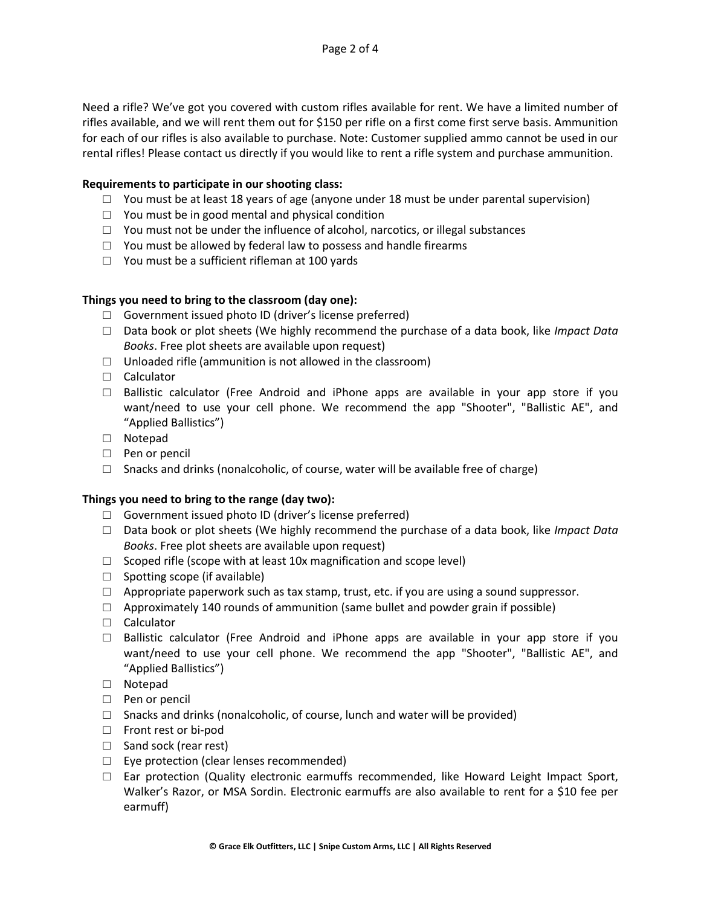Need a rifle? We've got you covered with custom rifles available for rent. We have a limited number of rifles available, and we will rent them out for \$150 per rifle on a first come first serve basis. Ammunition for each of our rifles is also available to purchase. Note: Customer supplied ammo cannot be used in our rental rifles! Please contact us directly if you would like to rent a rifle system and purchase ammunition.

## **Requirements to participate in our shooting class:**

- $\Box$  You must be at least 18 years of age (anyone under 18 must be under parental supervision)
- $\Box$  You must be in good mental and physical condition
- □ You must not be under the influence of alcohol, narcotics, or illegal substances
- $\Box$  You must be allowed by federal law to possess and handle firearms
- $\Box$  You must be a sufficient rifleman at 100 yards

## **Things you need to bring to the classroom (day one):**

- □ Government issued photo ID (driver's license preferred)
- □ Data book or plot sheets (We highly recommend the purchase of a data book, like *Impact Data Books*. Free plot sheets are available upon request)
- $\Box$  Unloaded rifle (ammunition is not allowed in the classroom)
- □ Calculator
- $\Box$  Ballistic calculator (Free Android and iPhone apps are available in your app store if you want/need to use your cell phone. We recommend the app "Shooter", "Ballistic AE", and "Applied Ballistics")
- □ Notepad
- □ Pen or pencil
- $\Box$  Snacks and drinks (nonalcoholic, of course, water will be available free of charge)

## **Things you need to bring to the range (day two):**

- □ Government issued photo ID (driver's license preferred)
- □ Data book or plot sheets (We highly recommend the purchase of a data book, like *Impact Data Books*. Free plot sheets are available upon request)
- $\Box$  Scoped rifle (scope with at least 10x magnification and scope level)
- $\Box$  Spotting scope (if available)
- $\Box$  Appropriate paperwork such as tax stamp, trust, etc. if you are using a sound suppressor.
- $\Box$  Approximately 140 rounds of ammunition (same bullet and powder grain if possible)
- □ Calculator
- $\Box$  Ballistic calculator (Free Android and iPhone apps are available in your app store if you want/need to use your cell phone. We recommend the app "Shooter", "Ballistic AE", and "Applied Ballistics")
- □ Notepad
- □ Pen or pencil
- $\Box$  Snacks and drinks (nonalcoholic, of course, lunch and water will be provided)
- □ Front rest or bi-pod
- □ Sand sock (rear rest)
- □ Eye protection (clear lenses recommended)
- $\square$  Ear protection (Quality electronic earmuffs recommended, like Howard Leight Impact Sport, Walker's Razor, or MSA Sordin. Electronic earmuffs are also available to rent for a \$10 fee per earmuff)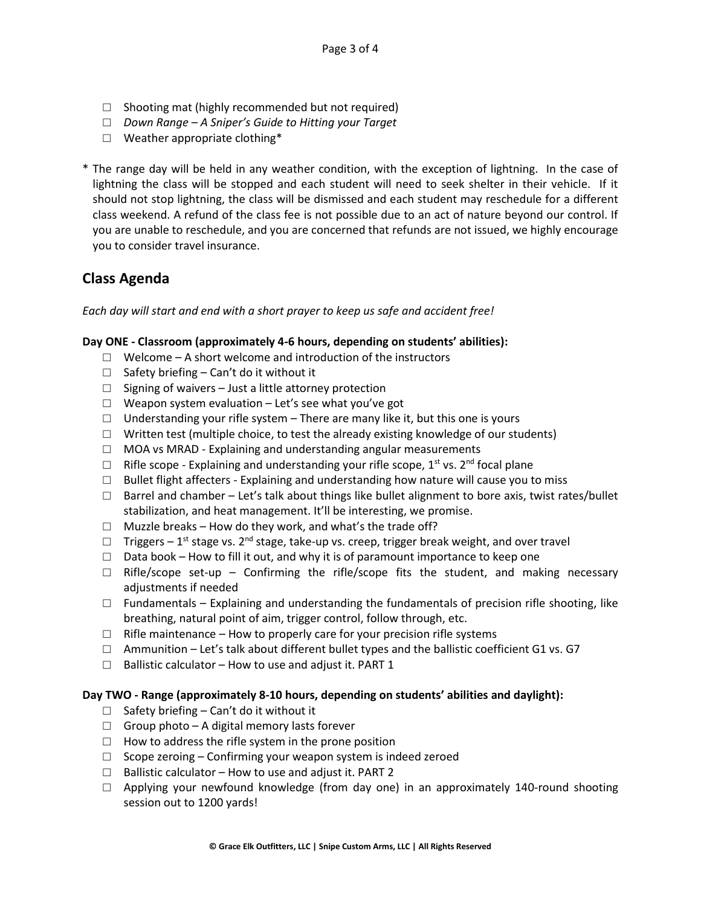- □ Shooting mat (highly recommended but not required)
- □ *Down Range – A Sniper's Guide to Hitting your Target*
- □ Weather appropriate clothing\*
- \* The range day will be held in any weather condition, with the exception of lightning. In the case of lightning the class will be stopped and each student will need to seek shelter in their vehicle. If it should not stop lightning, the class will be dismissed and each student may reschedule for a different class weekend. A refund of the class fee is not possible due to an act of nature beyond our control. If you are unable to reschedule, and you are concerned that refunds are not issued, we highly encourage you to consider travel insurance.

## **Class Agenda**

## *Each day will start and end with a short prayer to keep us safe and accident free!*

## **Day ONE - Classroom (approximately 4-6 hours, depending on students' abilities):**

- $\Box$  Welcome A short welcome and introduction of the instructors
- $\Box$  Safety briefing Can't do it without it
- $\Box$  Signing of waivers Just a little attorney protection
- $\square$  Weapon system evaluation Let's see what you've got
- $\Box$  Understanding your rifle system There are many like it, but this one is yours
- $\Box$  Written test (multiple choice, to test the already existing knowledge of our students)
- $\Box$  MOA vs MRAD Explaining and understanding angular measurements
- $\Box$  Rifle scope Explaining and understanding your rifle scope, 1<sup>st</sup> vs. 2<sup>nd</sup> focal plane
- $\Box$  Bullet flight affecters Explaining and understanding how nature will cause you to miss
- $\Box$  Barrel and chamber Let's talk about things like bullet alignment to bore axis, twist rates/bullet stabilization, and heat management. It'll be interesting, we promise.
- $\Box$  Muzzle breaks How do they work, and what's the trade off?
- $\Box$  Triggers 1<sup>st</sup> stage vs. 2<sup>nd</sup> stage, take-up vs. creep, trigger break weight, and over travel
- $\Box$  Data book How to fill it out, and why it is of paramount importance to keep one
- $\Box$  Rifle/scope set-up Confirming the rifle/scope fits the student, and making necessary adjustments if needed
- $\Box$  Fundamentals Explaining and understanding the fundamentals of precision rifle shooting, like breathing, natural point of aim, trigger control, follow through, etc.
- $\Box$  Rifle maintenance How to properly care for your precision rifle systems
- $\Box$  Ammunition Let's talk about different bullet types and the ballistic coefficient G1 vs. G7
- $\Box$  Ballistic calculator How to use and adjust it. PART 1

## **Day TWO - Range (approximately 8-10 hours, depending on students' abilities and daylight):**

- $\Box$  Safety briefing Can't do it without it
- $\Box$  Group photo A digital memory lasts forever
- $\Box$  How to address the rifle system in the prone position
- $\Box$  Scope zeroing Confirming your weapon system is indeed zeroed
- $\Box$  Ballistic calculator How to use and adjust it. PART 2
- $\Box$  Applying your newfound knowledge (from day one) in an approximately 140-round shooting session out to 1200 yards!